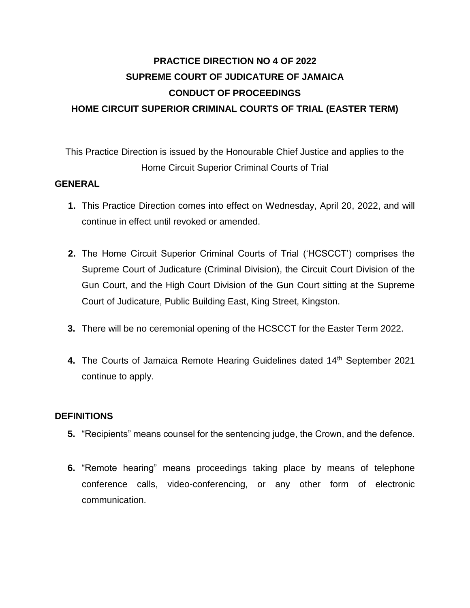# **PRACTICE DIRECTION NO 4 OF 2022 SUPREME COURT OF JUDICATURE OF JAMAICA CONDUCT OF PROCEEDINGS HOME CIRCUIT SUPERIOR CRIMINAL COURTS OF TRIAL (EASTER TERM)**

This Practice Direction is issued by the Honourable Chief Justice and applies to the Home Circuit Superior Criminal Courts of Trial

#### **GENERAL**

- **1.** This Practice Direction comes into effect on Wednesday, April 20, 2022, and will continue in effect until revoked or amended.
- **2.** The Home Circuit Superior Criminal Courts of Trial ('HCSCCT') comprises the Supreme Court of Judicature (Criminal Division), the Circuit Court Division of the Gun Court, and the High Court Division of the Gun Court sitting at the Supreme Court of Judicature, Public Building East, King Street, Kingston.
- **3.** There will be no ceremonial opening of the HCSCCT for the Easter Term 2022.
- 4. The Courts of Jamaica Remote Hearing Guidelines dated 14<sup>th</sup> September 2021 continue to apply.

#### **DEFINITIONS**

- **5.** "Recipients" means counsel for the sentencing judge, the Crown, and the defence.
- **6.** "Remote hearing" means proceedings taking place by means of telephone conference calls, video-conferencing, or any other form of electronic communication.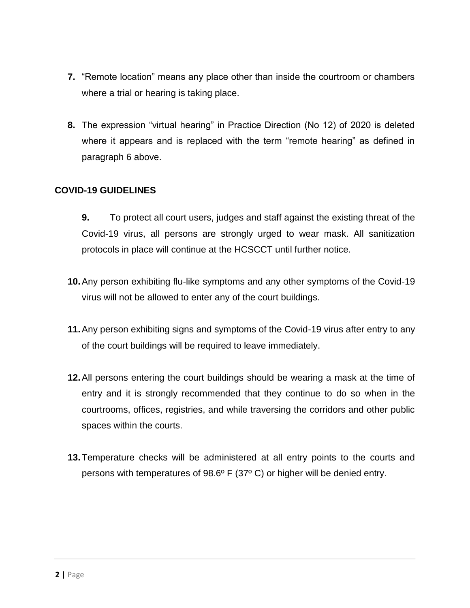- **7.** "Remote location" means any place other than inside the courtroom or chambers where a trial or hearing is taking place.
- **8.** The expression "virtual hearing" in Practice Direction (No 12) of 2020 is deleted where it appears and is replaced with the term "remote hearing" as defined in paragraph 6 above.

## **COVID-19 GUIDELINES**

- **9.** To protect all court users, judges and staff against the existing threat of the Covid-19 virus, all persons are strongly urged to wear mask. All sanitization protocols in place will continue at the HCSCCT until further notice.
- **10.**Any person exhibiting flu-like symptoms and any other symptoms of the Covid-19 virus will not be allowed to enter any of the court buildings.
- **11.**Any person exhibiting signs and symptoms of the Covid-19 virus after entry to any of the court buildings will be required to leave immediately.
- **12.**All persons entering the court buildings should be wearing a mask at the time of entry and it is strongly recommended that they continue to do so when in the courtrooms, offices, registries, and while traversing the corridors and other public spaces within the courts.
- **13.**Temperature checks will be administered at all entry points to the courts and persons with temperatures of 98.6º F (37º C) or higher will be denied entry.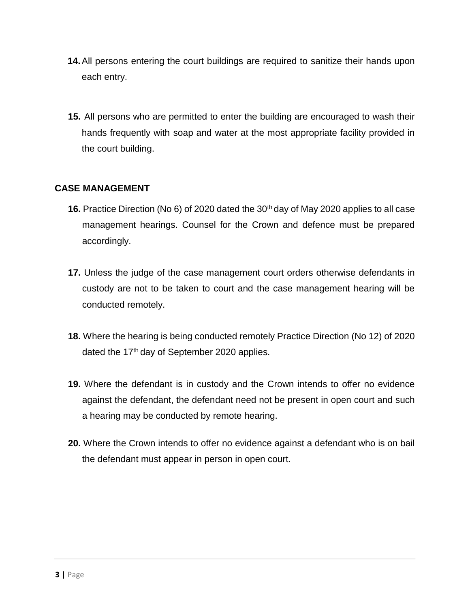- **14.**All persons entering the court buildings are required to sanitize their hands upon each entry.
- **15.** All persons who are permitted to enter the building are encouraged to wash their hands frequently with soap and water at the most appropriate facility provided in the court building.

## **CASE MANAGEMENT**

- **16.** Practice Direction (No 6) of 2020 dated the 30<sup>th</sup> day of May 2020 applies to all case management hearings. Counsel for the Crown and defence must be prepared accordingly.
- **17.** Unless the judge of the case management court orders otherwise defendants in custody are not to be taken to court and the case management hearing will be conducted remotely.
- **18.** Where the hearing is being conducted remotely Practice Direction (No 12) of 2020 dated the 17<sup>th</sup> day of September 2020 applies.
- **19.** Where the defendant is in custody and the Crown intends to offer no evidence against the defendant, the defendant need not be present in open court and such a hearing may be conducted by remote hearing.
- **20.** Where the Crown intends to offer no evidence against a defendant who is on bail the defendant must appear in person in open court.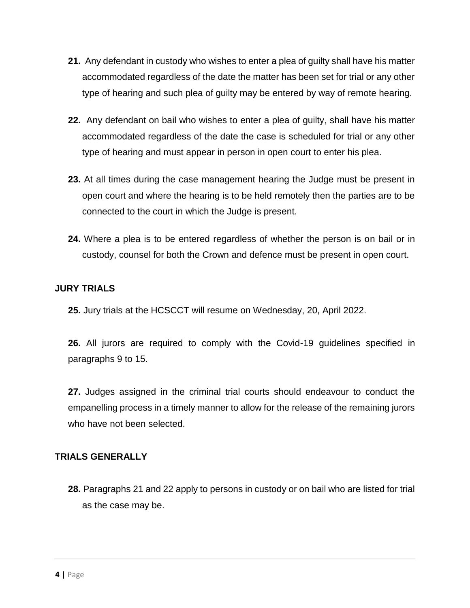- **21.** Any defendant in custody who wishes to enter a plea of guilty shall have his matter accommodated regardless of the date the matter has been set for trial or any other type of hearing and such plea of guilty may be entered by way of remote hearing.
- **22.** Any defendant on bail who wishes to enter a plea of guilty, shall have his matter accommodated regardless of the date the case is scheduled for trial or any other type of hearing and must appear in person in open court to enter his plea.
- **23.** At all times during the case management hearing the Judge must be present in open court and where the hearing is to be held remotely then the parties are to be connected to the court in which the Judge is present.
- **24.** Where a plea is to be entered regardless of whether the person is on bail or in custody, counsel for both the Crown and defence must be present in open court.

# **JURY TRIALS**

**25.** Jury trials at the HCSCCT will resume on Wednesday, 20, April 2022.

**26.** All jurors are required to comply with the Covid-19 guidelines specified in paragraphs 9 to 15.

**27.** Judges assigned in the criminal trial courts should endeavour to conduct the empanelling process in a timely manner to allow for the release of the remaining jurors who have not been selected.

## **TRIALS GENERALLY**

**28.** Paragraphs 21 and 22 apply to persons in custody or on bail who are listed for trial as the case may be.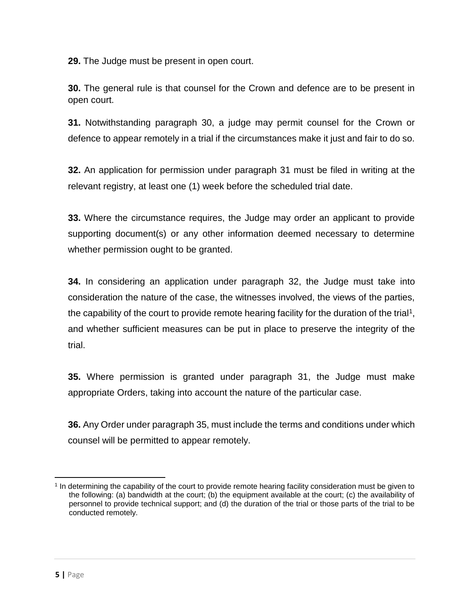**29.** The Judge must be present in open court.

**30.** The general rule is that counsel for the Crown and defence are to be present in open court.

**31.** Notwithstanding paragraph 30, a judge may permit counsel for the Crown or defence to appear remotely in a trial if the circumstances make it just and fair to do so.

**32.** An application for permission under paragraph 31 must be filed in writing at the relevant registry, at least one (1) week before the scheduled trial date.

**33.** Where the circumstance requires, the Judge may order an applicant to provide supporting document(s) or any other information deemed necessary to determine whether permission ought to be granted.

**34.** In considering an application under paragraph 32, the Judge must take into consideration the nature of the case, the witnesses involved, the views of the parties, the capability of the court to provide remote hearing facility for the duration of the trial<sup>1</sup>, and whether sufficient measures can be put in place to preserve the integrity of the trial.

**35.** Where permission is granted under paragraph 31, the Judge must make appropriate Orders, taking into account the nature of the particular case.

**36.** Any Order under paragraph 35, must include the terms and conditions under which counsel will be permitted to appear remotely.

l

<sup>1</sup> In determining the capability of the court to provide remote hearing facility consideration must be given to the following: (a) bandwidth at the court; (b) the equipment available at the court; (c) the availability of personnel to provide technical support; and (d) the duration of the trial or those parts of the trial to be conducted remotely.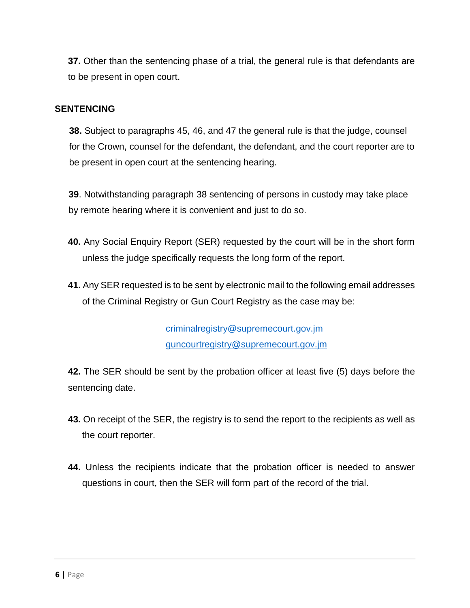**37.** Other than the sentencing phase of a trial, the general rule is that defendants are to be present in open court.

#### **SENTENCING**

**38.** Subject to paragraphs 45, 46, and 47 the general rule is that the judge, counsel for the Crown, counsel for the defendant, the defendant, and the court reporter are to be present in open court at the sentencing hearing.

**39**. Notwithstanding paragraph 38 sentencing of persons in custody may take place by remote hearing where it is convenient and just to do so.

- **40.** Any Social Enquiry Report (SER) requested by the court will be in the short form unless the judge specifically requests the long form of the report.
- **41.** Any SER requested is to be sent by electronic mail to the following email addresses of the Criminal Registry or Gun Court Registry as the case may be:

criminalregistry@supremecourt.gov.jm guncourtregistry@supremecourt.gov.jm

**42.** The SER should be sent by the probation officer at least five (5) days before the sentencing date.

- **43.** On receipt of the SER, the registry is to send the report to the recipients as well as the court reporter.
- **44.** Unless the recipients indicate that the probation officer is needed to answer questions in court, then the SER will form part of the record of the trial.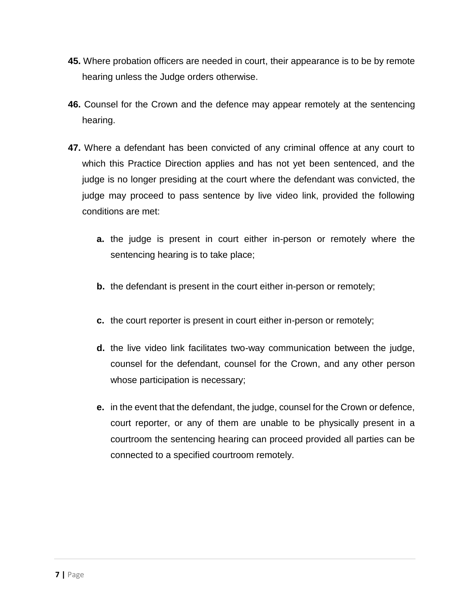- **45.** Where probation officers are needed in court, their appearance is to be by remote hearing unless the Judge orders otherwise.
- **46.** Counsel for the Crown and the defence may appear remotely at the sentencing hearing.
- **47.** Where a defendant has been convicted of any criminal offence at any court to which this Practice Direction applies and has not yet been sentenced, and the judge is no longer presiding at the court where the defendant was convicted, the judge may proceed to pass sentence by live video link, provided the following conditions are met:
	- **a.** the judge is present in court either in-person or remotely where the sentencing hearing is to take place;
	- **b.** the defendant is present in the court either in-person or remotely;
	- **c.** the court reporter is present in court either in-person or remotely;
	- **d.** the live video link facilitates two-way communication between the judge, counsel for the defendant, counsel for the Crown, and any other person whose participation is necessary;
	- **e.** in the event that the defendant, the judge, counsel for the Crown or defence, court reporter, or any of them are unable to be physically present in a courtroom the sentencing hearing can proceed provided all parties can be connected to a specified courtroom remotely.